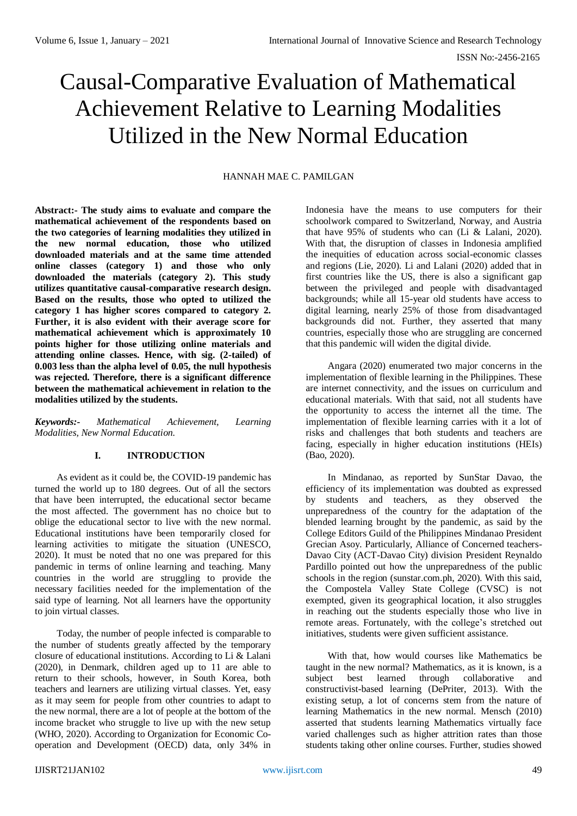# Causal-Comparative Evaluation of Mathematical Achievement Relative to Learning Modalities Utilized in the New Normal Education

# HANNAH MAE C. PAMILGAN

**Abstract:- The study aims to evaluate and compare the mathematical achievement of the respondents based on the two categories of learning modalities they utilized in the new normal education, those who utilized downloaded materials and at the same time attended online classes (category 1) and those who only downloaded the materials (category 2). This study utilizes quantitative causal-comparative research design. Based on the results, those who opted to utilized the category 1 has higher scores compared to category 2. Further, it is also evident with their average score for mathematical achievement which is approximately 10 points higher for those utilizing online materials and attending online classes. Hence, with sig. (2-tailed) of 0.003 less than the alpha level of 0.05, the null hypothesis was rejected. Therefore, there is a significant difference between the mathematical achievement in relation to the modalities utilized by the students.** 

*Keywords:- Mathematical Achievement, Learning Modalities, New Normal Education.* 

# **I. INTRODUCTION**

As evident as it could be, the COVID-19 pandemic has turned the world up to 180 degrees. Out of all the sectors that have been interrupted, the educational sector became the most affected. The government has no choice but to oblige the educational sector to live with the new normal. Educational institutions have been temporarily closed for learning activities to mitigate the situation (UNESCO, 2020). It must be noted that no one was prepared for this pandemic in terms of online learning and teaching. Many countries in the world are struggling to provide the necessary facilities needed for the implementation of the said type of learning. Not all learners have the opportunity to join virtual classes.

Today, the number of people infected is comparable to the number of students greatly affected by the temporary closure of educational institutions. According to Li & Lalani (2020), in Denmark, children aged up to 11 are able to return to their schools, however, in South Korea, both teachers and learners are utilizing virtual classes. Yet, easy as it may seem for people from other countries to adapt to the new normal, there are a lot of people at the bottom of the income bracket who struggle to live up with the new setup (WHO, 2020). According to Organization for Economic Cooperation and Development (OECD) data, only 34% in

Indonesia have the means to use computers for their schoolwork compared to Switzerland, Norway, and Austria that have 95% of students who can (Li & Lalani, 2020). With that, the disruption of classes in Indonesia amplified the inequities of education across social-economic classes and regions (Lie, 2020). Li and Lalani (2020) added that in first countries like the US, there is also a significant gap between the privileged and people with disadvantaged backgrounds; while all 15-year old students have access to digital learning, nearly 25% of those from disadvantaged backgrounds did not. Further, they asserted that many countries, especially those who are struggling are concerned that this pandemic will widen the digital divide.

Angara (2020) enumerated two major concerns in the implementation of flexible learning in the Philippines. These are internet connectivity, and the issues on curriculum and educational materials. With that said, not all students have the opportunity to access the internet all the time. The implementation of flexible learning carries with it a lot of risks and challenges that both students and teachers are facing, especially in higher education institutions (HEIs) (Bao, 2020).

In Mindanao, as reported by SunStar Davao, the efficiency of its implementation was doubted as expressed by students and teachers, as they observed the unpreparedness of the country for the adaptation of the blended learning brought by the pandemic, as said by the College Editors Guild of the Philippines Mindanao President Grecian Asoy. Particularly, Alliance of Concerned teachers-Davao City (ACT-Davao City) division President Reynaldo Pardillo pointed out how the unpreparedness of the public schools in the region (sunstar.com.ph, 2020). With this said, the Compostela Valley State College (CVSC) is not exempted, given its geographical location, it also struggles in reaching out the students especially those who live in remote areas. Fortunately, with the college's stretched out initiatives, students were given sufficient assistance.

With that, how would courses like Mathematics be taught in the new normal? Mathematics, as it is known, is a subject best learned through collaborative and constructivist-based learning (DePriter, 2013). With the existing setup, a lot of concerns stem from the nature of learning Mathematics in the new normal. Mensch (2010) asserted that students learning Mathematics virtually face varied challenges such as higher attrition rates than those students taking other online courses. Further, studies showed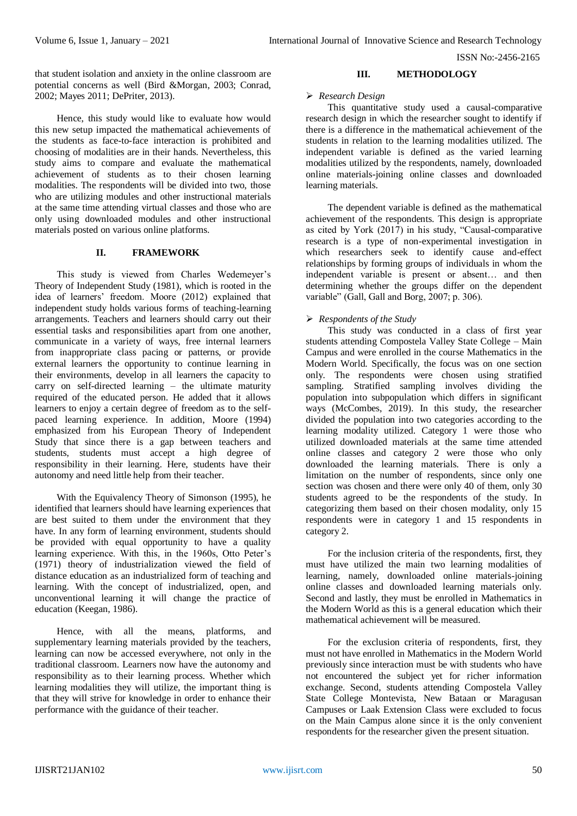that student isolation and anxiety in the online classroom are potential concerns as well (Bird &Morgan, 2003; Conrad, 2002; Mayes 2011; DePriter, 2013).

Hence, this study would like to evaluate how would this new setup impacted the mathematical achievements of the students as face-to-face interaction is prohibited and choosing of modalities are in their hands. Nevertheless, this study aims to compare and evaluate the mathematical achievement of students as to their chosen learning modalities. The respondents will be divided into two, those who are utilizing modules and other instructional materials at the same time attending virtual classes and those who are only using downloaded modules and other instructional materials posted on various online platforms.

# **II. FRAMEWORK**

This study is viewed from Charles Wedemeyer's Theory of Independent Study (1981), which is rooted in the idea of learners' freedom. Moore (2012) explained that independent study holds various forms of teaching-learning arrangements. Teachers and learners should carry out their essential tasks and responsibilities apart from one another, communicate in a variety of ways, free internal learners from inappropriate class pacing or patterns, or provide external learners the opportunity to continue learning in their environments, develop in all learners the capacity to carry on self-directed learning – the ultimate maturity required of the educated person. He added that it allows learners to enjoy a certain degree of freedom as to the selfpaced learning experience. In addition, Moore (1994) emphasized from his European Theory of Independent Study that since there is a gap between teachers and students, students must accept a high degree of responsibility in their learning. Here, students have their autonomy and need little help from their teacher.

With the Equivalency Theory of Simonson (1995), he identified that learners should have learning experiences that are best suited to them under the environment that they have. In any form of learning environment, students should be provided with equal opportunity to have a quality learning experience. With this, in the 1960s, Otto Peter's (1971) theory of industrialization viewed the field of distance education as an industrialized form of teaching and learning. With the concept of industrialized, open, and unconventional learning it will change the practice of education (Keegan, 1986).

Hence, with all the means, platforms, and supplementary learning materials provided by the teachers. learning can now be accessed everywhere, not only in the traditional classroom. Learners now have the autonomy and responsibility as to their learning process. Whether which learning modalities they will utilize, the important thing is that they will strive for knowledge in order to enhance their performance with the guidance of their teacher.

## **III. METHODOLOGY**

# *Research Design*

This quantitative study used a causal-comparative research design in which the researcher sought to identify if there is a difference in the mathematical achievement of the students in relation to the learning modalities utilized. The independent variable is defined as the varied learning modalities utilized by the respondents, namely, downloaded online materials-joining online classes and downloaded learning materials.

The dependent variable is defined as the mathematical achievement of the respondents. This design is appropriate as cited by York  $(2017)$  in his study, "Causal-comparative research is a type of non-experimental investigation in which researchers seek to identify cause and-effect relationships by forming groups of individuals in whom the independent variable is present or absent… and then determining whether the groups differ on the dependent variable" (Gall, Gall and Borg, 2007; p. 306).

# *Respondents of the Study*

This study was conducted in a class of first year students attending Compostela Valley State College – Main Campus and were enrolled in the course Mathematics in the Modern World. Specifically, the focus was on one section only. The respondents were chosen using stratified sampling. Stratified sampling involves dividing the population into subpopulation which differs in significant ways (McCombes, 2019). In this study, the researcher divided the population into two categories according to the learning modality utilized. Category 1 were those who utilized downloaded materials at the same time attended online classes and category 2 were those who only downloaded the learning materials. There is only a limitation on the number of respondents, since only one section was chosen and there were only 40 of them, only 30 students agreed to be the respondents of the study. In categorizing them based on their chosen modality, only 15 respondents were in category 1 and 15 respondents in category 2.

For the inclusion criteria of the respondents, first, they must have utilized the main two learning modalities of learning, namely, downloaded online materials-joining online classes and downloaded learning materials only. Second and lastly, they must be enrolled in Mathematics in the Modern World as this is a general education which their mathematical achievement will be measured.

For the exclusion criteria of respondents, first, they must not have enrolled in Mathematics in the Modern World previously since interaction must be with students who have not encountered the subject yet for richer information exchange. Second, students attending Compostela Valley State College Montevista, New Bataan or Maragusan Campuses or Laak Extension Class were excluded to focus on the Main Campus alone since it is the only convenient respondents for the researcher given the present situation.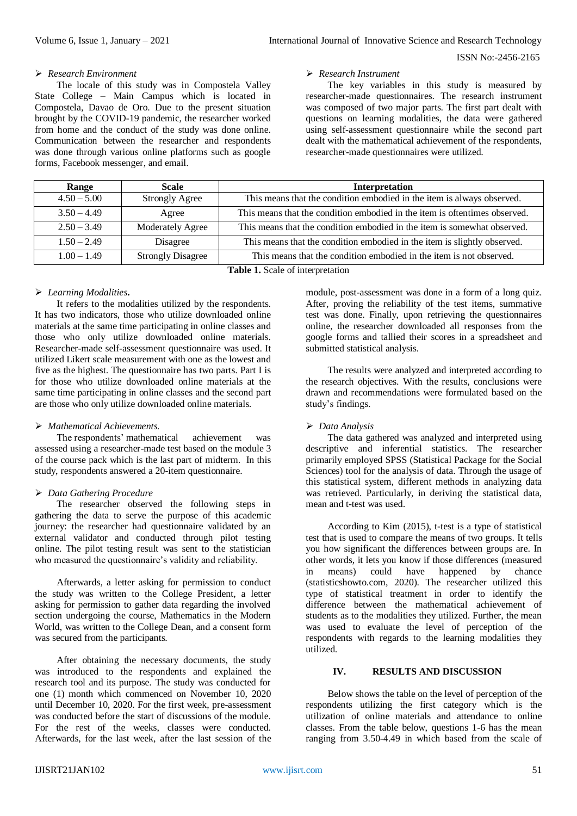#### *Research Environment*

The locale of this study was in Compostela Valley State College – Main Campus which is located in Compostela, Davao de Oro. Due to the present situation brought by the COVID-19 pandemic, the researcher worked from home and the conduct of the study was done online. Communication between the researcher and respondents was done through various online platforms such as google forms, Facebook messenger, and email.

#### *Research Instrument*

The key variables in this study is measured by researcher-made questionnaires. The research instrument was composed of two major parts. The first part dealt with questions on learning modalities, the data were gathered using self-assessment questionnaire while the second part dealt with the mathematical achievement of the respondents, researcher-made questionnaires were utilized.

| Range                           | <b>Scale</b>             | Interpretation                                                             |  |  |  |
|---------------------------------|--------------------------|----------------------------------------------------------------------------|--|--|--|
| $4.50 - 5.00$                   | <b>Strongly Agree</b>    | This means that the condition embodied in the item is always observed.     |  |  |  |
| $3.50 - 4.49$                   | Agree                    | This means that the condition embodied in the item is oftentimes observed. |  |  |  |
| $2.50 - 3.49$                   | Moderately Agree         | This means that the condition embodied in the item is somewhat observed.   |  |  |  |
| $1.50 - 2.49$                   | Disagree                 | This means that the condition embodied in the item is slightly observed.   |  |  |  |
| $1.00 - 1.49$                   | <b>Strongly Disagree</b> | This means that the condition embodied in the item is not observed.        |  |  |  |
| Table 1 Scale of interpretation |                          |                                                                            |  |  |  |

**Table 1.** Scale of interpretation

## *Learning Modalities***.**

It refers to the modalities utilized by the respondents. It has two indicators, those who utilize downloaded online materials at the same time participating in online classes and those who only utilize downloaded online materials. Researcher-made self-assessment questionnaire was used. It utilized Likert scale measurement with one as the lowest and five as the highest. The questionnaire has two parts. Part I is for those who utilize downloaded online materials at the same time participating in online classes and the second part are those who only utilize downloaded online materials.

## *Mathematical Achievements.*

The respondents' mathematical achievement was assessed using a researcher-made test based on the module 3 of the course pack which is the last part of midterm. In this study, respondents answered a 20-item questionnaire.

## *Data Gathering Procedure*

The researcher observed the following steps in gathering the data to serve the purpose of this academic journey: the researcher had questionnaire validated by an external validator and conducted through pilot testing online. The pilot testing result was sent to the statistician who measured the questionnaire's validity and reliability.

Afterwards, a letter asking for permission to conduct the study was written to the College President, a letter asking for permission to gather data regarding the involved section undergoing the course, Mathematics in the Modern World, was written to the College Dean, and a consent form was secured from the participants.

After obtaining the necessary documents, the study was introduced to the respondents and explained the research tool and its purpose. The study was conducted for one (1) month which commenced on November 10, 2020 until December 10, 2020. For the first week, pre-assessment was conducted before the start of discussions of the module. For the rest of the weeks, classes were conducted. Afterwards, for the last week, after the last session of the module, post-assessment was done in a form of a long quiz. After, proving the reliability of the test items, summative test was done. Finally, upon retrieving the questionnaires online, the researcher downloaded all responses from the google forms and tallied their scores in a spreadsheet and submitted statistical analysis.

The results were analyzed and interpreted according to the research objectives. With the results, conclusions were drawn and recommendations were formulated based on the study's findings.

## *Data Analysis*

The data gathered was analyzed and interpreted using descriptive and inferential statistics. The researcher primarily employed SPSS (Statistical Package for the Social Sciences) tool for the analysis of data. Through the usage of this statistical system, different methods in analyzing data was retrieved. Particularly, in deriving the statistical data, mean and t-test was used.

According to Kim (2015), t-test is a type of statistical test that is used to compare the means of two groups. It tells you how significant the differences between groups are. In other words, it lets you know if those differences (measured in means) could have happened by chance (statisticshowto.com, 2020). The researcher utilized this type of statistical treatment in order to identify the difference between the mathematical achievement of students as to the modalities they utilized. Further, the mean was used to evaluate the level of perception of the respondents with regards to the learning modalities they utilized.

#### **IV. RESULTS AND DISCUSSION**

Below shows the table on the level of perception of the respondents utilizing the first category which is the utilization of online materials and attendance to online classes. From the table below, questions 1-6 has the mean ranging from 3.50-4.49 in which based from the scale of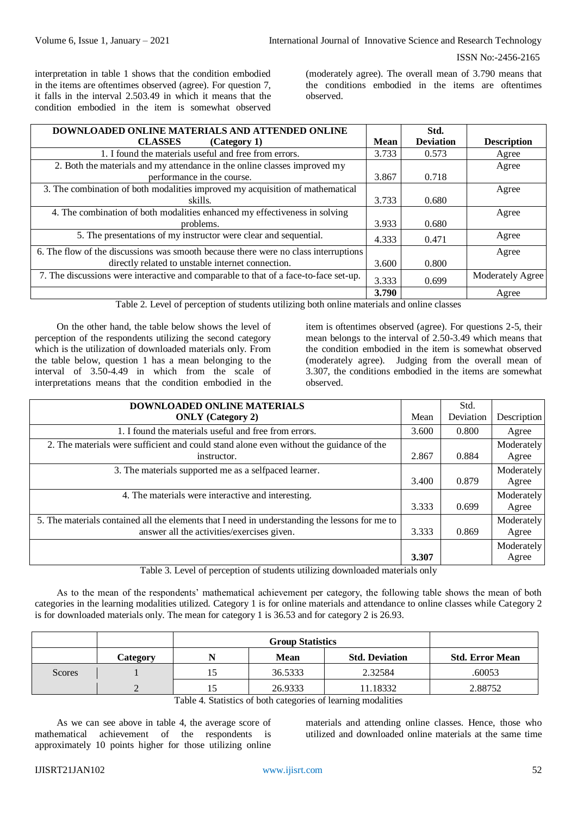interpretation in table 1 shows that the condition embodied in the items are oftentimes observed (agree). For question 7, it falls in the interval 2.503.49 in which it means that the condition embodied in the item is somewhat observed

(moderately agree). The overall mean of 3.790 means that the conditions embodied in the items are oftentimes observed.

| <b>DOWNLOADED ONLINE MATERIALS AND ATTENDED ONLINE</b>                               |       | Std.             |                         |
|--------------------------------------------------------------------------------------|-------|------------------|-------------------------|
| <b>CLASSES</b><br>(Category 1)                                                       | Mean  | <b>Deviation</b> | <b>Description</b>      |
| 1. I found the materials useful and free from errors.                                | 3.733 | 0.573            | Agree                   |
| 2. Both the materials and my attendance in the online classes improved my            |       |                  | Agree                   |
| performance in the course.                                                           | 3.867 | 0.718            |                         |
| 3. The combination of both modalities improved my acquisition of mathematical        |       |                  | Agree                   |
| skills.                                                                              | 3.733 | 0.680            |                         |
| 4. The combination of both modalities enhanced my effectiveness in solving           |       |                  | Agree                   |
| problems.                                                                            | 3.933 | 0.680            |                         |
| 5. The presentations of my instructor were clear and sequential.                     | 4.333 | 0.471            | Agree                   |
| 6. The flow of the discussions was smooth because there were no class interruptions  |       |                  | Agree                   |
| directly related to unstable internet connection.                                    | 3.600 | 0.800            |                         |
| 7. The discussions were interactive and comparable to that of a face-to-face set-up. | 3.333 | 0.699            | <b>Moderately Agree</b> |
|                                                                                      | 3.790 |                  | Agree                   |

Table 2. Level of perception of students utilizing both online materials and online classes

On the other hand, the table below shows the level of perception of the respondents utilizing the second category which is the utilization of downloaded materials only. From the table below, question 1 has a mean belonging to the interval of 3.50-4.49 in which from the scale of interpretations means that the condition embodied in the item is oftentimes observed (agree). For questions 2-5, their mean belongs to the interval of 2.50-3.49 which means that the condition embodied in the item is somewhat observed (moderately agree). Judging from the overall mean of 3.307, the conditions embodied in the items are somewhat observed.

| DOWNLOADED ONLINE MATERIALS                                                                    |       | Std.      |             |
|------------------------------------------------------------------------------------------------|-------|-----------|-------------|
| <b>ONLY</b> (Category 2)                                                                       | Mean  | Deviation | Description |
| 1. I found the materials useful and free from errors.                                          | 3.600 | 0.800     | Agree       |
| 2. The materials were sufficient and could stand alone even without the guidance of the        |       |           | Moderately  |
| instructor.                                                                                    | 2.867 | 0.884     | Agree       |
| 3. The materials supported me as a selfpaced learner.                                          |       |           | Moderately  |
|                                                                                                | 3.400 | 0.879     | Agree       |
| 4. The materials were interactive and interesting.                                             |       |           | Moderately  |
|                                                                                                | 3.333 | 0.699     | Agree       |
| 5. The materials contained all the elements that I need in understanding the lessons for me to |       |           | Moderately  |
| answer all the activities/exercises given.                                                     | 3.333 | 0.869     | Agree       |
|                                                                                                |       |           | Moderately  |
|                                                                                                | 3.307 |           | Agree       |

Table 3. Level of perception of students utilizing downloaded materials only

As to the mean of the respondents' mathematical achievement per category, the following table shows the mean of both categories in the learning modalities utilized. Category 1 is for online materials and attendance to online classes while Category 2 is for downloaded materials only. The mean for category 1 is 36.53 and for category 2 is 26.93.

|        | Category | N | <b>Mean</b> | <b>Std. Deviation</b> | <b>Std. Error Mean</b> |
|--------|----------|---|-------------|-----------------------|------------------------|
| Scores |          |   | 36.5333     | 2.32584               | .60053                 |
|        |          |   | 26.9333     | 11.18332              | 2.88752                |

Table 4. Statistics of both categories of learning modalities

As we can see above in table 4, the average score of mathematical achievement of the respondents is approximately 10 points higher for those utilizing online materials and attending online classes. Hence, those who utilized and downloaded online materials at the same time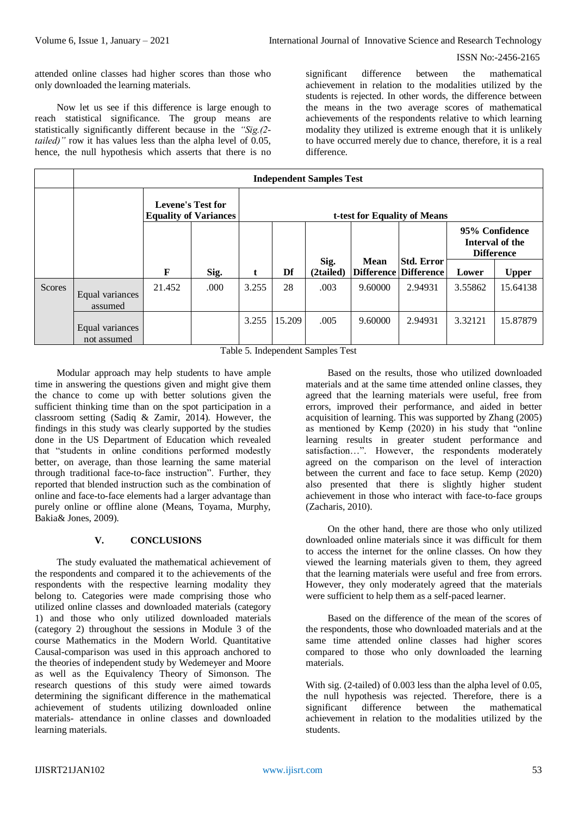attended online classes had higher scores than those who only downloaded the learning materials.

Now let us see if this difference is large enough to reach statistical significance. The group means are statistically significantly different because in the *"Sig.(2 tailed)*" row it has values less than the alpha level of 0.05, hence, the null hypothesis which asserts that there is no significant difference between the mathematical achievement in relation to the modalities utilized by the students is rejected. In other words, the difference between the means in the two average scores of mathematical achievements of the respondents relative to which learning modality they utilized is extreme enough that it is unlikely to have occurred merely due to chance, therefore, it is a real difference.

|               | <b>Independent Samples Test</b> |                                                          |                              |       |        |                   |         |                                                   |         |                                                        |
|---------------|---------------------------------|----------------------------------------------------------|------------------------------|-------|--------|-------------------|---------|---------------------------------------------------|---------|--------------------------------------------------------|
|               |                                 | <b>Levene's Test for</b><br><b>Equality of Variances</b> | t-test for Equality of Means |       |        |                   |         |                                                   |         |                                                        |
|               |                                 |                                                          |                              |       |        |                   |         |                                                   |         | 95% Confidence<br>Interval of the<br><b>Difference</b> |
|               |                                 | F                                                        | Sig.                         | t     | Df     | Sig.<br>(2tailed) | Mean    | <b>Std. Error</b><br><b>Difference Difference</b> | Lower   | <b>Upper</b>                                           |
| <b>Scores</b> | Equal variances<br>assumed      | 21.452                                                   | .000                         | 3.255 | 28     | .003              | 9.60000 | 2.94931                                           | 3.55862 | 15.64138                                               |
|               | Equal variances<br>not assumed  |                                                          |                              | 3.255 | 15.209 | .005              | 9.60000 | 2.94931                                           | 3.32121 | 15.87879                                               |

Table 5. Independent Samples Test

Modular approach may help students to have ample time in answering the questions given and might give them the chance to come up with better solutions given the sufficient thinking time than on the spot participation in a classroom setting (Sadiq & Zamir, 2014). However, the findings in this study was clearly supported by the studies done in the US Department of Education which revealed that "students in online conditions performed modestly better, on average, than those learning the same material through traditional face-to-face instruction". Further, they reported that blended instruction such as the combination of online and face-to-face elements had a larger advantage than purely online or offline alone (Means, Toyama, Murphy, Bakia& Jones, 2009).

# **V. CONCLUSIONS**

The study evaluated the mathematical achievement of the respondents and compared it to the achievements of the respondents with the respective learning modality they belong to. Categories were made comprising those who utilized online classes and downloaded materials (category 1) and those who only utilized downloaded materials (category 2) throughout the sessions in Module 3 of the course Mathematics in the Modern World. Quantitative Causal-comparison was used in this approach anchored to the theories of independent study by Wedemeyer and Moore as well as the Equivalency Theory of Simonson. The research questions of this study were aimed towards determining the significant difference in the mathematical achievement of students utilizing downloaded online materials- attendance in online classes and downloaded learning materials.

Based on the results, those who utilized downloaded materials and at the same time attended online classes, they agreed that the learning materials were useful, free from errors, improved their performance, and aided in better acquisition of learning. This was supported by Zhang (2005) as mentioned by Kemp (2020) in his study that "online learning results in greater student performance and satisfaction…". However, the respondents moderately agreed on the comparison on the level of interaction between the current and face to face setup. Kemp (2020) also presented that there is slightly higher student achievement in those who interact with face-to-face groups (Zacharis, 2010).

On the other hand, there are those who only utilized downloaded online materials since it was difficult for them to access the internet for the online classes. On how they viewed the learning materials given to them, they agreed that the learning materials were useful and free from errors. However, they only moderately agreed that the materials were sufficient to help them as a self-paced learner.

Based on the difference of the mean of the scores of the respondents, those who downloaded materials and at the same time attended online classes had higher scores compared to those who only downloaded the learning materials.

With sig. (2-tailed) of 0.003 less than the alpha level of 0.05, the null hypothesis was rejected. Therefore, there is a significant difference between the mathematical achievement in relation to the modalities utilized by the students.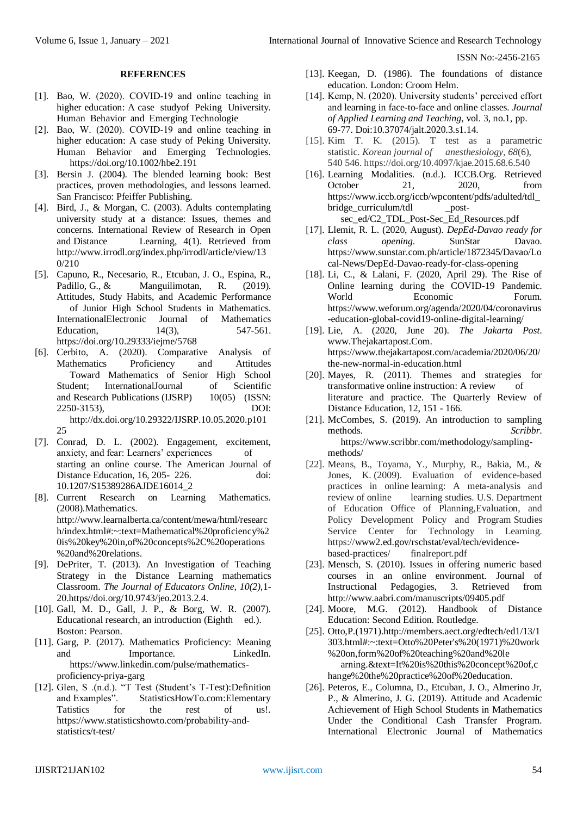#### **REFERENCES**

- [1]. Bao, W. (2020). COVID‐19 and online teaching in higher education: A case studyof Peking University. Human Behavior and Emerging Technologie
- [2]. Bao, W. (2020). COVID‐19 and online teaching in higher education: A case study of Peking University. Human Behavior and Emerging Technologies. https://doi.org/10.1002/hbe2.191
- [3]. Bersin J. (2004). The blended learning book: Best practices, proven methodologies, and lessons learned. San Francisco: Pfeiffer Publishing.
- [4]. Bird, J., & Morgan, C. (2003). Adults contemplating university study at a distance: Issues, themes and concerns. International Review of Research in Open and Distance Learning, 4(1). Retrieved from http://www.irrodl.org/index.php/irrodl/article/view/13 0/210
- [5]. Capuno, R., Necesario, R., Etcuban, J. O., Espina, R., Padillo, G., & Manguilimotan, R. (2019). Attitudes, Study Habits, and Academic Performance of Junior High School Students in Mathematics. InternationalElectronic Journal of Mathematics<br>Education. 14(3). 547-561. Education,  $14(3)$ , https://doi.org/10.29333/iejme/5768
- [6]. Cerbito, A. (2020). Comparative Analysis of Mathematics Proficiency and Attitudes Toward Mathematics of Senior High School Student; InternationalJournal of Scientific and Research Publications (IJSRP) 10(05) (ISSN: 2250-3153), DOI: http://dx.doi.org/10.29322/IJSRP.10.05.2020.p101

 $25$ 

- [7]. Conrad, D. L. (2002). Engagement, excitement, anxiety, and fear: Learners' experiences of starting an online course. The American Journal of Distance Education, 16, 205- 226. doi: 10.1207/S15389286AJDE16014\_2
- [8]. Current Research on Learning Mathematics. (2008).Mathematics. http://www.learnalberta.ca/content/mewa/html/researc h/index.html#:~:text=Mathematical%20proficiency%2 0is%20key%20in,of%20concepts%2C%20operations %20and%20relations.
- [9]. DePriter, T. (2013). An Investigation of Teaching Strategy in the Distance Learning mathematics Classroom. *The Journal of Educators Online, 10(2),*1- 20.https//doi.org/10.9743/jeo.2013.2.4.
- [10]. Gall, M. D., Gall, J. P., & Borg, W. R. (2007). Educational research, an introduction (Eighth ed.). Boston: Pearson.
- [11]. Garg, P. (2017). Mathematics Proficiency: Meaning and Importance. LinkedIn. https://www.linkedin.com/pulse/mathematicsproficiency-priya-garg
- [12]. Glen, S .(n.d.). "T Test (Student's T-Test):Definition and Examples". StatisticsHowTo.com:Elementary Tatistics for the rest of us!. https://www.statisticshowto.com/probability-andstatistics/t-test/
- [13]. Keegan, D. (1986). The foundations of distance education. London: Croom Helm.
- [14]. Kemp, N. (2020). University students' perceived effort and learning in face-to-face and online classes. *Journal of Applied Learning and Teaching*, vol. 3, no.1, pp. 69-77. Doi:10.37074/jalt.2020.3.s1.14.
- [15]. Kim T. K. (2015). T test as a parametric statistic. *Korean journal of anesthesiology*, *68*(6), 540 546. https://doi.org/10.4097/kjae.2015.68.6.540
- [16]. Learning Modalities. (n.d.). ICCB.Org. Retrieved October 21, 2020, from https://www.iccb.org/iccb/wpcontent/pdfs/adulted/tdl\_ bridge\_curriculum/tdl postsec\_ed/C2\_TDL\_Post-Sec\_Ed\_Resources.pdf
- [17]. Llemit, R. L. (2020, August). *DepEd-Davao ready for class opening*. SunStar Davao. https://www.sunstar.com.ph/article/1872345/Davao/Lo cal-News/DepEd-Davao-ready-for-class-opening
- [18]. Li, C., & Lalani, F. (2020, April 29). The Rise of Online learning during the COVID-19 Pandemic. World Economic Forum. https://www.weforum.org/agenda/2020/04/coronavirus -education-global-covid19-online-digital-learning/
- [19]. Lie, A. (2020, June 20). *The Jakarta Post*. www.Thejakartapost.Com. https://www.thejakartapost.com/academia/2020/06/20/ the-new-normal-in-education.html
- [20]. Mayes, R. (2011). Themes and strategies for transformative online instruction: A review of literature and practice. The Quarterly Review of Distance Education, 12, 151 - 166.
- [21]. McCombes, S. (2019). An introduction to sampling methods. *Scribbr*. https://www.scribbr.com/methodology/samplingmethods/
- [22]. Means, B., Toyama, Y., Murphy, R., Bakia, M., & Jones, K. (2009). Evaluation of evidence-based practices in online learning: A meta-analysis and review of online learning studies. U.S. Department of Education Office of Planning,Evaluation, and Policy Development Policy and Program Studies Service Center for Technology in Learning. https://www2.ed.gov/rschstat/eval/tech/evidencebased-practices/ finalreport.pdf
- [23]. Mensch, S. (2010). Issues in offering numeric based courses in an online environment. Journal of Instructional Pedagogies, 3. Retrieved from http://www.aabri.com/manuscripts/09405.pdf
- [24]. Moore, M.G. (2012). Handbook of Distance Education: Second Edition. Routledge.
- [25]. Otto,P.(1971).http://members.aect.org/edtech/ed1/13/1 303.html#:~:text=Otto%20Peter's%20(1971)%20work %20on,form%20of%20teaching%20and%20le arning.&text=It%20is%20this%20concept%20of,c hange%20the%20practice%20of%20education.
- [26]. Peteros, E., Columna, D., Etcuban, J. O., Almerino Jr, P., & Almerino, J. G. (2019). Attitude and Academic Achievement of High School Students in Mathematics Under the Conditional Cash Transfer Program. International Electronic Journal of Mathematics